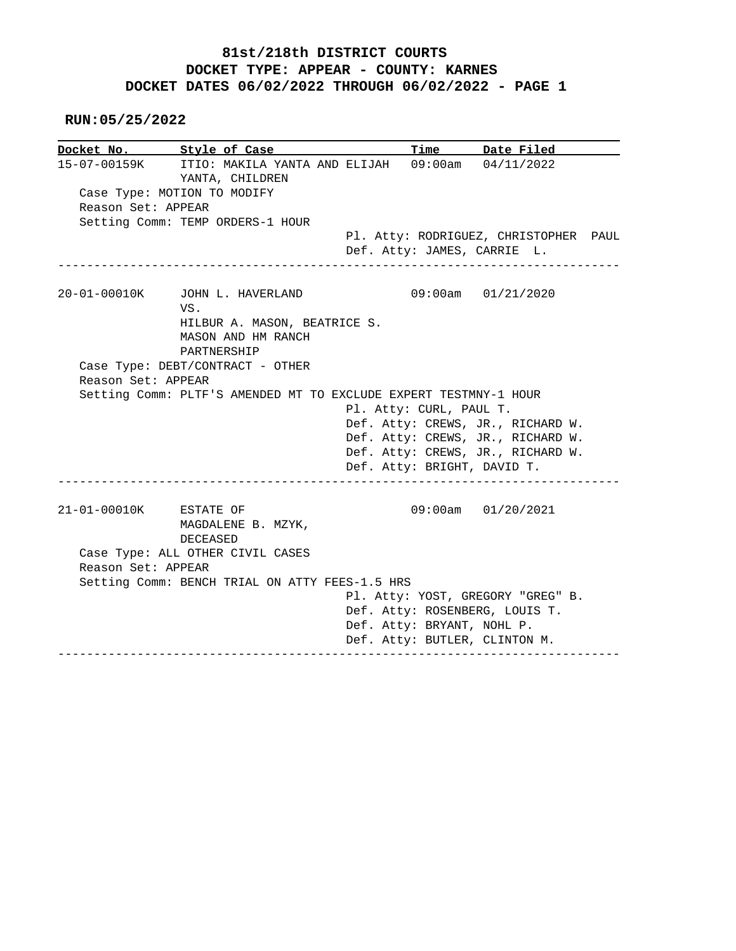## **81st/218th DISTRICT COURTS DOCKET TYPE: APPEAR - COUNTY: KARNES DOCKET DATES 06/02/2022 THROUGH 06/02/2022 - PAGE 1**

 **RUN:05/25/2022**

|                                              | Docket No. Style of Case                                                         | Time                    | Date Filed                                                           |  |
|----------------------------------------------|----------------------------------------------------------------------------------|-------------------------|----------------------------------------------------------------------|--|
|                                              | 15-07-00159K ITIO: MAKILA YANTA AND ELIJAH 09:00am 04/11/2022<br>YANTA, CHILDREN |                         |                                                                      |  |
|                                              | Case Type: MOTION TO MODIFY                                                      |                         |                                                                      |  |
| Reason Set: APPEAR                           |                                                                                  |                         |                                                                      |  |
|                                              | Setting Comm: TEMP ORDERS-1 HOUR                                                 |                         |                                                                      |  |
| ________________                             |                                                                                  |                         | Pl. Atty: RODRIGUEZ, CHRISTOPHER PAUL<br>Def. Atty: JAMES, CARRIE L. |  |
| 20-01-00010K                                 | JOHN L. HAVERLAND<br>VS.                                                         |                         | 09:00am 01/21/2020                                                   |  |
|                                              | HILBUR A. MASON, BEATRICE S.<br>MASON AND HM RANCH<br>PARTNERSHIP                |                         |                                                                      |  |
|                                              | Case Type: DEBT/CONTRACT - OTHER                                                 |                         |                                                                      |  |
| Reason Set: APPEAR                           |                                                                                  |                         |                                                                      |  |
|                                              | Setting Comm: PLTF'S AMENDED MT TO EXCLUDE EXPERT TESTMNY-1 HOUR                 |                         |                                                                      |  |
|                                              |                                                                                  |                         |                                                                      |  |
|                                              |                                                                                  | Pl. Atty: CURL, PAUL T. |                                                                      |  |
|                                              |                                                                                  |                         | Def. Atty: CREWS, JR., RICHARD W.                                    |  |
|                                              |                                                                                  |                         | Def. Atty: CREWS, JR., RICHARD W.                                    |  |
|                                              |                                                                                  |                         | Def. Atty: CREWS, JR., RICHARD W.<br>Def. Atty: BRIGHT, DAVID T.     |  |
|                                              |                                                                                  |                         |                                                                      |  |
|                                              | MAGDALENE B. MZYK,                                                               |                         | 09:00am 01/20/2021                                                   |  |
| 21-01-00010K ESTATE OF<br>Reason Set: APPEAR | DECEASED<br>Case Type: ALL OTHER CIVIL CASES                                     |                         |                                                                      |  |
|                                              | Setting Comm: BENCH TRIAL ON ATTY FEES-1.5 HRS                                   |                         |                                                                      |  |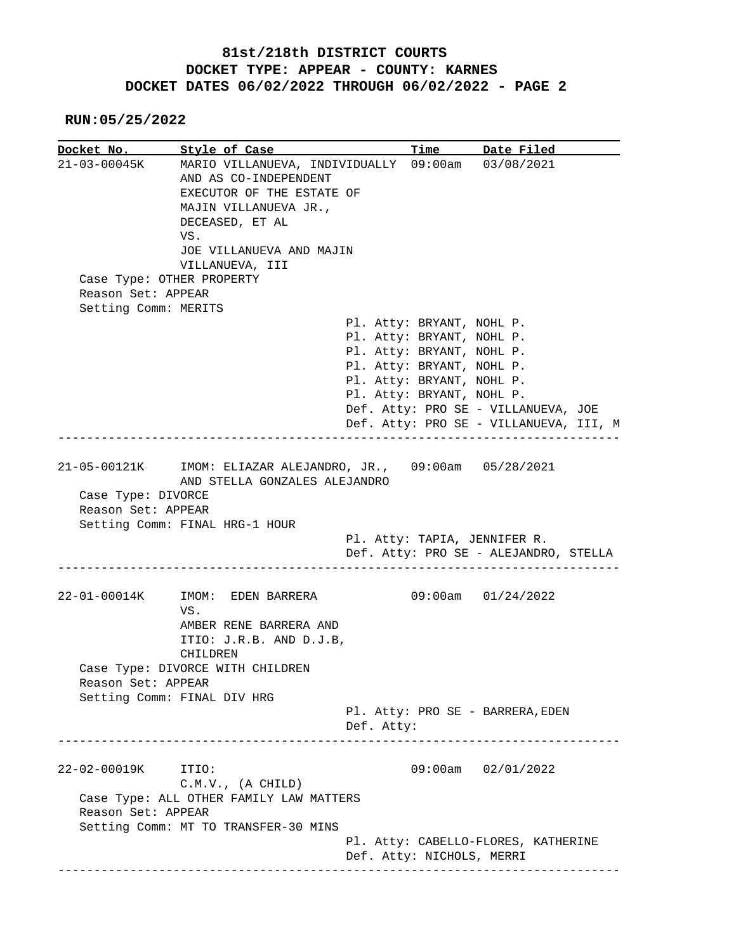## **81st/218th DISTRICT COURTS DOCKET TYPE: APPEAR - COUNTY: KARNES DOCKET DATES 06/02/2022 THROUGH 06/02/2022 - PAGE 2**

 **RUN:05/25/2022**

**Docket No. Style of Case Time Date Filed**  21-03-00045K MARIO VILLANUEVA, INDIVIDUALLY 09:00am 03/08/2021 AND AS CO-INDEPENDENT EXECUTOR OF THE ESTATE OF MAJIN VILLANUEVA JR., DECEASED, ET AL VS. JOE VILLANUEVA AND MAJIN VILLANUEVA, III Case Type: OTHER PROPERTY Reason Set: APPEAR Setting Comm: MERITS Pl. Atty: BRYANT, NOHL P. Pl. Atty: BRYANT, NOHL P. Pl. Atty: BRYANT, NOHL P. Pl. Atty: BRYANT, NOHL P. Pl. Atty: BRYANT, NOHL P. Pl. Atty: BRYANT, NOHL P. Def. Atty: PRO SE - VILLANUEVA, JOE Def. Atty: PRO SE - VILLANUEVA, III, M ------------------------------------------------------------------------------ 21-05-00121K IMOM: ELIAZAR ALEJANDRO, JR., 09:00am 05/28/2021 AND STELLA GONZALES ALEJANDRO Case Type: DIVORCE Reason Set: APPEAR Setting Comm: FINAL HRG-1 HOUR Pl. Atty: TAPIA, JENNIFER R. Def. Atty: PRO SE - ALEJANDRO, STELLA ------------------------------------------------------------------------------ 22-01-00014K IMOM: EDEN BARRERA 09:00am 01/24/2022 VS. AMBER RENE BARRERA AND ITIO: J.R.B. AND D.J.B, CHILDREN Case Type: DIVORCE WITH CHILDREN Reason Set: APPEAR Setting Comm: FINAL DIV HRG Pl. Atty: PRO SE - BARRERA,EDEN Def. Atty: ------------------------------------------------------------------------------ 22-02-00019K ITIO: 09:00am 02/01/2022 C.M.V., (A CHILD) Case Type: ALL OTHER FAMILY LAW MATTERS Reason Set: APPEAR Setting Comm: MT TO TRANSFER-30 MINS Pl. Atty: CABELLO-FLORES, KATHERINE Def. Atty: NICHOLS, MERRI ------------------------------------------------------------------------------